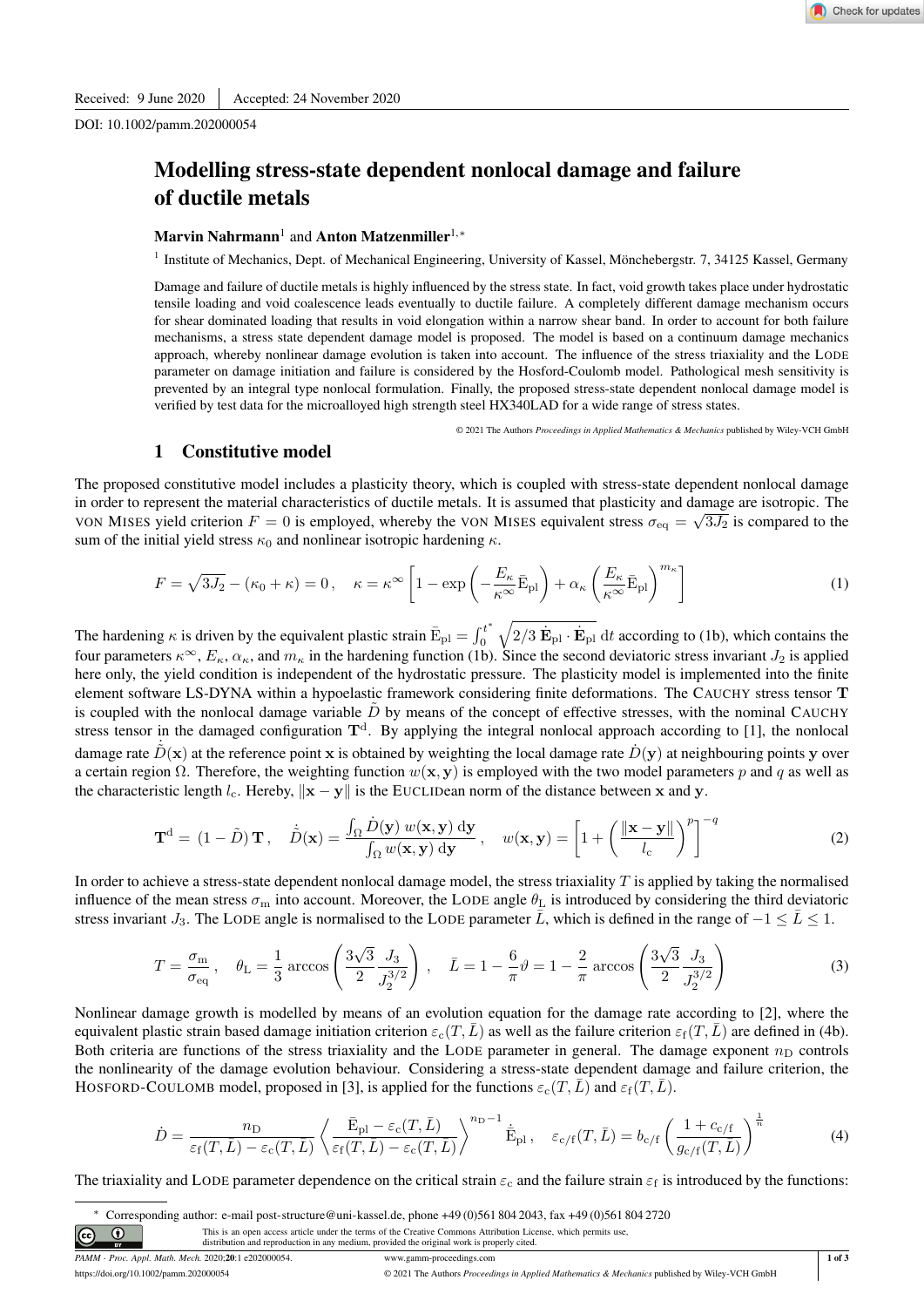DOI: 10.1002/pamm.202000054

# Modelling stress-state dependent nonlocal damage and failure of ductile metals

## Marvin Nahrmann<sup>1</sup> and Anton Matzenmiller<sup>1,\*</sup>

<sup>1</sup> Institute of Mechanics, Dept. of Mechanical Engineering, University of Kassel, Mönchebergstr. 7, 34125 Kassel, Germany

Damage and failure of ductile metals is highly influenced by the stress state. In fact, void growth takes place under hydrostatic tensile loading and void coalescence leads eventually to ductile failure. A completely different damage mechanism occurs for shear dominated loading that results in void elongation within a narrow shear band. In order to account for both failure mechanisms, a stress state dependent damage model is proposed. The model is based on a continuum damage mechanics approach, whereby nonlinear damage evolution is taken into account. The influence of the stress triaxiality and the LODE parameter on damage initiation and failure is considered by the Hosford-Coulomb model. Pathological mesh sensitivity is prevented by an integral type nonlocal formulation. Finally, the proposed stress-state dependent nonlocal damage model is verified by test data for the microalloyed high strength steel HX340LAD for a wide range of stress states.

© 2021 The Authors *Proceedings in Applied Mathematics & Mechanics* published by Wiley-VCH GmbH

# 1 Constitutive model

The proposed constitutive model includes a plasticity theory, which is coupled with stress-state dependent nonlocal damage in order to represent the material characteristics of ductile metals. It is assumed that plasticity and damage are isotropic. The VON MISES yield criterion  $F = 0$  is employed, whereby the VON MISES equivalent stress  $\sigma_{eq} = \sqrt{3J_2}$  is compared to the sum of the initial yield stress  $\kappa_0$  and nonlinear isotropic hardening  $\kappa$ .

$$
F = \sqrt{3J_2} - (\kappa_0 + \kappa) = 0, \quad \kappa = \kappa^{\infty} \left[ 1 - \exp\left( -\frac{E_{\kappa}}{\kappa^{\infty}} \bar{\mathbf{E}}_{\text{pl}} \right) + \alpha_{\kappa} \left( \frac{E_{\kappa}}{\kappa^{\infty}} \bar{\mathbf{E}}_{\text{pl}} \right)^{m_{\kappa}} \right]
$$
(1)

The hardening  $\kappa$  is driven by the equivalent plastic strain  $\bar{\mathrm{E}}_{\text{pl}} = \int_0^{t^*}$  $\theta$  $\sqrt{2/3 \dot{\mathbf{E}}_{\text{pl}} \cdot \dot{\mathbf{E}}_{\text{pl}}} dt$  according to (1b), which contains the four parameters  $\kappa^{\infty}$ ,  $E_{\kappa}$ ,  $\alpha_{\kappa}$ , and  $m_{\kappa}$  in the hardening function (1b). Since the second deviatoric stress invariant  $J_2$  is applied here only, the yield condition is independent of the hydrostatic pressure. The plasticity model is implemented into the finite element software LS-DYNA within a hypoelastic framework considering finite deformations. The CAUCHY stress tensor T is coupled with the nonlocal damage variable  $\tilde{D}$  by means of the concept of effective stresses, with the nominal CAUCHY stress tensor in the damaged configuration  $T<sup>d</sup>$ . By applying the integral nonlocal approach according to [1], the nonlocal damage rate  $\tilde{D}(\mathbf{x})$  at the reference point x is obtained by weighting the local damage rate  $\tilde{D}(\mathbf{y})$  at neighbouring points y over a certain region  $\Omega$ . Therefore, the weighting function  $w(\mathbf{x}, \mathbf{y})$  is employed with the two model parameters p and q as well as the characteristic length l<sub>c</sub>. Hereby,  $\Vert x - y \Vert$  is the EUCLIDean norm of the distance between x and y.

$$
\mathbf{T}^{\mathbf{d}} = (1 - \tilde{D}) \mathbf{T}, \quad \dot{\tilde{D}}(\mathbf{x}) = \frac{\int_{\Omega} \dot{D}(\mathbf{y}) w(\mathbf{x}, \mathbf{y}) \, \mathrm{d}\mathbf{y}}{\int_{\Omega} w(\mathbf{x}, \mathbf{y}) \, \mathrm{d}\mathbf{y}}, \quad w(\mathbf{x}, \mathbf{y}) = \left[ 1 + \left( \frac{\|\mathbf{x} - \mathbf{y}\|}{l_{\mathrm{c}}} \right)^p \right]^{-q}
$$
(2)

In order to achieve a stress-state dependent nonlocal damage model, the stress triaxiality  $T$  is applied by taking the normalised influence of the mean stress  $\sigma_m$  into account. Moreover, the LODE angle  $\theta_L$  is introduced by considering the third deviatoric stress invariant  $J_3$ . The LODE angle is normalised to the LODE parameter  $\bar{L}$ , which is defined in the range of  $-1 \leq \bar{L} \leq 1$ .

$$
T = \frac{\sigma_{\rm m}}{\sigma_{\rm eq}}, \quad \theta_{\rm L} = \frac{1}{3} \arccos\left(\frac{3\sqrt{3}}{2} \frac{J_3}{J_2^{3/2}}\right), \quad \bar{L} = 1 - \frac{6}{\pi}\vartheta = 1 - \frac{2}{\pi} \arccos\left(\frac{3\sqrt{3}}{2} \frac{J_3}{J_2^{3/2}}\right)
$$
(3)

Nonlinear damage growth is modelled by means of an evolution equation for the damage rate according to [2], where the equivalent plastic strain based damage initiation criterion  $\varepsilon_c(T,L)$  as well as the failure criterion  $\varepsilon_f(T,L)$  are defined in (4b). Both criteria are functions of the stress triaxiality and the LODE parameter in general. The damage exponent  $n_D$  controls the nonlinearity of the damage evolution behaviour. Considering a stress-state dependent damage and failure criterion, the HOSFORD-COULOMB model, proposed in [3], is applied for the functions  $\varepsilon_c(T,\bar{L})$  and  $\varepsilon_f(T,\bar{L})$ .

$$
\dot{D} = \frac{n_{\rm D}}{\varepsilon_{\rm f}(T,\bar{L}) - \varepsilon_{\rm c}(T,\bar{L})} \left\langle \frac{\bar{\rm E}_{\rm pl} - \varepsilon_{\rm c}(T,\bar{L})}{\varepsilon_{\rm f}(T,\bar{L}) - \varepsilon_{\rm c}(T,\bar{L})} \right\rangle^{n_{\rm D}-1} \dot{\bar{\rm E}}_{\rm pl} , \quad \varepsilon_{\rm c/f}(T,\bar{L}) = b_{\rm c/f} \left( \frac{1 + c_{\rm c/f}}{g_{\rm c/f}(T,\bar{L})} \right)^{\frac{1}{n}} \tag{4}
$$

The triaxiality and LODE parameter dependence on the critical strain  $\varepsilon_c$  and the failure strain  $\varepsilon_f$  is introduced by the functions:

<sup>∗</sup> Corresponding author: e-mail post-structure@uni-kassel.de, phone +49 (0)561 804 2043, fax +49 (0)561 804 2720 <sub>cc</sub>  $\odot$ This is an open access article under the terms of the Creative Commons Attribution License, which permits use, distribution and reproduction in any medium, provided the original work is properly cited.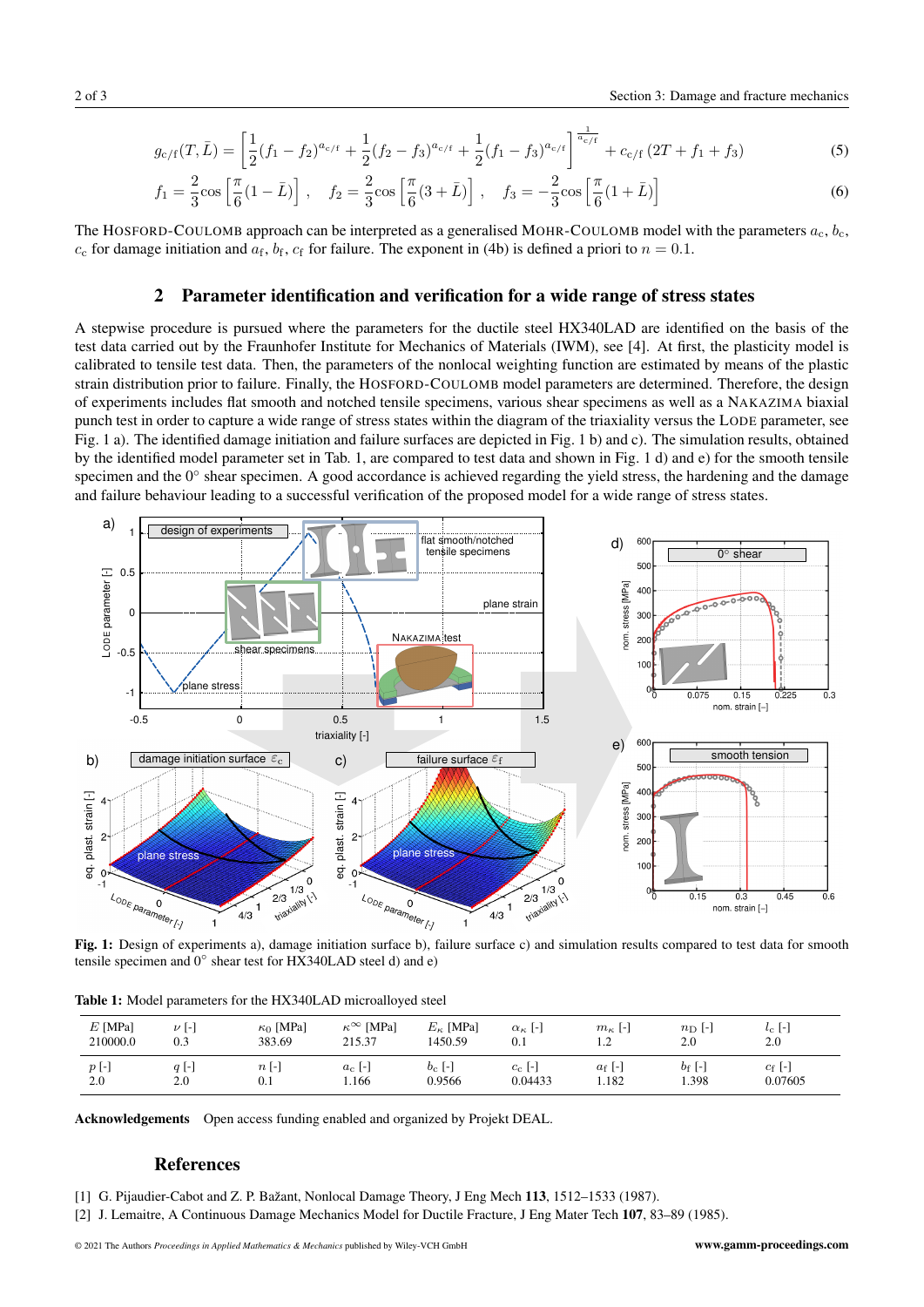$$
g_{c/f}(T,\bar{L}) = \left[\frac{1}{2}(f_1 - f_2)^{a_{c/f}} + \frac{1}{2}(f_2 - f_3)^{a_{c/f}} + \frac{1}{2}(f_1 - f_3)^{a_{c/f}}\right]^{\frac{1}{a_{c/f}}} + c_{c/f}\left(2T + f_1 + f_3\right)
$$
(5)

$$
f_1 = \frac{2}{3}\cos\left[\frac{\pi}{6}(1-\bar{L})\right], \quad f_2 = \frac{2}{3}\cos\left[\frac{\pi}{6}(3+\bar{L})\right], \quad f_3 = -\frac{2}{3}\cos\left[\frac{\pi}{6}(1+\bar{L})\right]
$$
(6)

The HOSFORD-COULOMB approach can be interpreted as a generalised MOHR-COULOMB model with the parameters  $a_c, b_c$ ,  $c_c$  for damage initiation and  $a_f$ ,  $b_f$ ,  $c_f$  for failure. The exponent in (4b) is defined a priori to  $n = 0.1$ .

#### 2 Parameter identification and verification for a wide range of stress states

A stepwise procedure is pursued where the parameters for the ductile steel HX340LAD are identified on the basis of the test data carried out by the Fraunhofer Institute for Mechanics of Materials (IWM), see [4]. At first, the plasticity model is calibrated to tensile test data. Then, the parameters of the nonlocal weighting function are estimated by means of the plastic strain distribution prior to failure. Finally, the HOSFORD-COULOMB model parameters are determined. Therefore, the design of experiments includes flat smooth and notched tensile specimens, various shear specimens as well as a NAKAZIMA biaxial punch test in order to capture a wide range of stress states within the diagram of the triaxiality versus the LODE parameter, see Fig. 1 a). The identified damage initiation and failure surfaces are depicted in Fig. 1 b) and c). The simulation results, obtained by the identified model parameter set in Tab. 1, are compared to test data and shown in Fig. 1 d) and e) for the smooth tensile specimen and the  $0^\circ$  shear specimen. A good accordance is achieved regarding the yield stress, the hardening and the damage and failure behaviour leading to a successful verification of the proposed model for a wide range of stress states.



Fig. 1: Design of experiments a), damage initiation surface b), failure surface c) and simulation results compared to test data for smooth tensile specimen and 0<sup>°</sup> shear test for HX340LAD steel d) and e)

Table 1: Model parameters for the HX340LAD microalloyed steel

| $E$ [MPa]<br>210000.0   | $\nu$ [-]<br>0.3 | $\kappa_0$ [MPa]<br>383.69 | $\kappa^{\infty}$<br>[MPa]<br>215.37 | $E_{\kappa}$ [MPa]<br>1450.59 | $\alpha_{\kappa}$ [-]<br>0.1 | $m_{\kappa}$ [-]<br>$\sqrt{2}$<br>$\overline{1}$ . | $n_{\rm D}$  -<br>2.0 | $l_{\rm C}$ [=<br>2.0 |
|-------------------------|------------------|----------------------------|--------------------------------------|-------------------------------|------------------------------|----------------------------------------------------|-----------------------|-----------------------|
| $p$ $\lbrack - \rbrack$ | $q$ $\vdash$     | $n$ [-]                    | $a_c$  -                             | $b_c$ [-]                     | $c_{\rm c}$  -               | $a_{\rm f}$ [-]                                    | $b_{\rm f}$ [-]       | $c_f$ [-]             |
| 2.0                     | 2.0              | 0.1                        | 1.166                                | 0.9566                        | 0.04433                      | 1.182                                              | 1.398                 | 0.07605               |

Acknowledgements Open access funding enabled and organized by Projekt DEAL.

## References

- [1] G. Pijaudier-Cabot and Z. P. Bažant, Nonlocal Damage Theory, J Eng Mech 113, 1512–1533 (1987).
- [2] J. Lemaitre, A Continuous Damage Mechanics Model for Ductile Fracture, J Eng Mater Tech 107, 83–89 (1985).